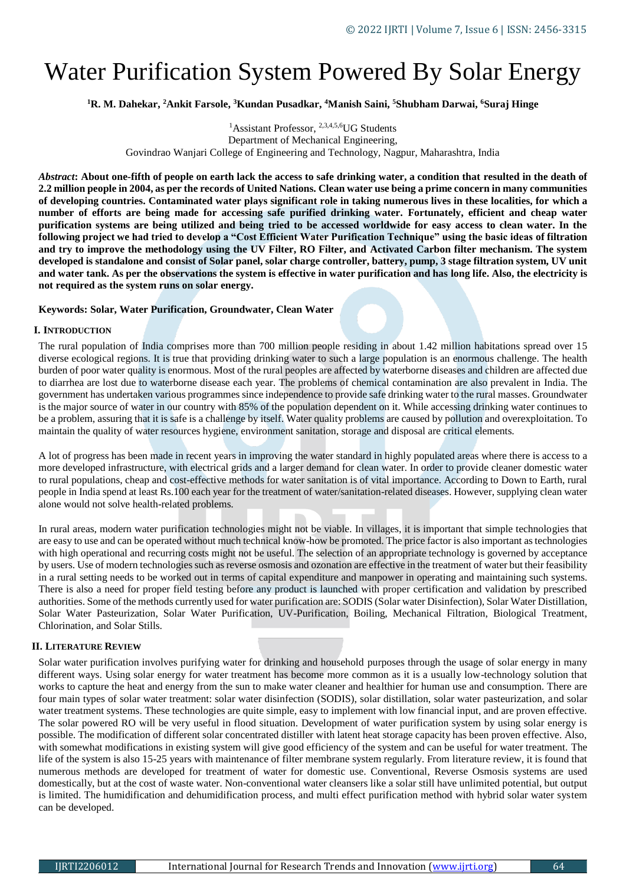# Water Purification System Powered By Solar Energy

**<sup>1</sup>R. M. Dahekar, <sup>2</sup>Ankit Farsole, <sup>3</sup>Kundan Pusadkar, <sup>4</sup>Manish Saini, <sup>5</sup>Shubham Darwai, <sup>6</sup>Suraj Hinge**

<sup>1</sup>Assistant Professor, <sup>2,3,4,5,6</sup>UG Students Department of Mechanical Engineering, Govindrao Wanjari College of Engineering and Technology, Nagpur, Maharashtra, India

*Abstract***: About one-fifth of people on earth lack the access to safe drinking water, a condition that resulted in the death of 2.2 million people in 2004, as per the records of United Nations. Clean water use being a prime concern in many communities of developing countries. Contaminated water plays significant role in taking numerous lives in these localities, for which a number of efforts are being made for accessing safe purified drinking water. Fortunately, efficient and cheap water purification systems are being utilized and being tried to be accessed worldwide for easy access to clean water. In the following project we had tried to develop a "Cost Efficient Water Purification Technique" using the basic ideas of filtration and try to improve the methodology using the UV Filter, RO Filter, and Activated Carbon filter mechanism. The system developed is standalone and consist of Solar panel, solar charge controller, battery, pump, 3 stage filtration system, UV unit and water tank. As per the observations the system is effective in water purification and has long life. Also, the electricity is not required as the system runs on solar energy.** 

## **Keywords: Solar, Water Purification, Groundwater, Clean Water**

## **I. INTRODUCTION**

The rural population of India comprises more than 700 million people residing in about 1.42 million habitations spread over 15 diverse ecological regions. It is true that providing drinking water to such a large population is an enormous challenge. The health burden of poor water quality is enormous. Most of the rural peoples are affected by waterborne diseases and children are affected due to diarrhea are lost due to waterborne disease each year. The problems of chemical contamination are also prevalent in India. The government has undertaken various programmes since independence to provide safe drinking water to the rural masses. Groundwater is the major source of water in our country with 85% of the population dependent on it. While accessing drinking water continues to be a problem, assuring that it is safe is a challenge by itself. Water quality problems are caused by pollution and overexploitation. To maintain the quality of water resources hygiene, environment sanitation, storage and disposal are critical elements.

A lot of progress has been made in recent years in improving the water standard in highly populated areas where there is access to a more developed infrastructure, with electrical grids and a larger demand for clean water. In order to provide cleaner domestic water to rural populations, cheap and cost-effective methods for water sanitation is of vital importance. According to Down to Earth, rural people in India spend at least Rs.100 each year for the treatment of water/sanitation-related diseases. However, supplying clean water alone would not solve health-related problems.

In rural areas, modern water purification technologies might not be viable. In villages, it is important that simple technologies that are easy to use and can be operated without much technical know-how be promoted. The price factor is also important as technologies with high operational and recurring costs might not be useful. The selection of an appropriate technology is governed by acceptance by users. Use of modern technologies such as reverse osmosis and ozonation are effective in the treatment of water but their feasibility in a rural setting needs to be worked out in terms of capital expenditure and manpower in operating and maintaining such systems. There is also a need for proper field testing before any product is launched with proper certification and validation by prescribed authorities. Some of the methods currently used for water purification are: SODIS (Solar water Disinfection), Solar Water Distillation, Solar Water Pasteurization, Solar Water Purification, UV-Purification, Boiling, Mechanical Filtration, Biological Treatment, Chlorination, and Solar Stills.

# **II. LITERATURE REVIEW**

Solar water purification involves purifying water for drinking and household purposes through the usage of solar energy in many different ways. Using solar energy for water treatment has become more common as it is a usually low-technology solution that works to capture the heat and energy from the sun to make water cleaner and healthier for human use and consumption. There are four main types of solar water treatment: solar water disinfection (SODIS), solar distillation, solar water pasteurization, and solar water treatment systems. These technologies are quite simple, easy to implement with low financial input, and are proven effective. The solar powered RO will be very useful in flood situation. Development of water purification system by using solar energy is possible. The modification of different solar concentrated distiller with latent heat storage capacity has been proven effective. Also, with somewhat modifications in existing system will give good efficiency of the system and can be useful for water treatment. The life of the system is also 15-25 years with maintenance of filter membrane system regularly. From literature review, it is found that numerous methods are developed for treatment of water for domestic use. Conventional, Reverse Osmosis systems are used domestically, but at the cost of waste water. Non-conventional water cleansers like a solar still have unlimited potential, but output is limited. The humidification and dehumidification process, and multi effect purification method with hybrid solar water system can be developed.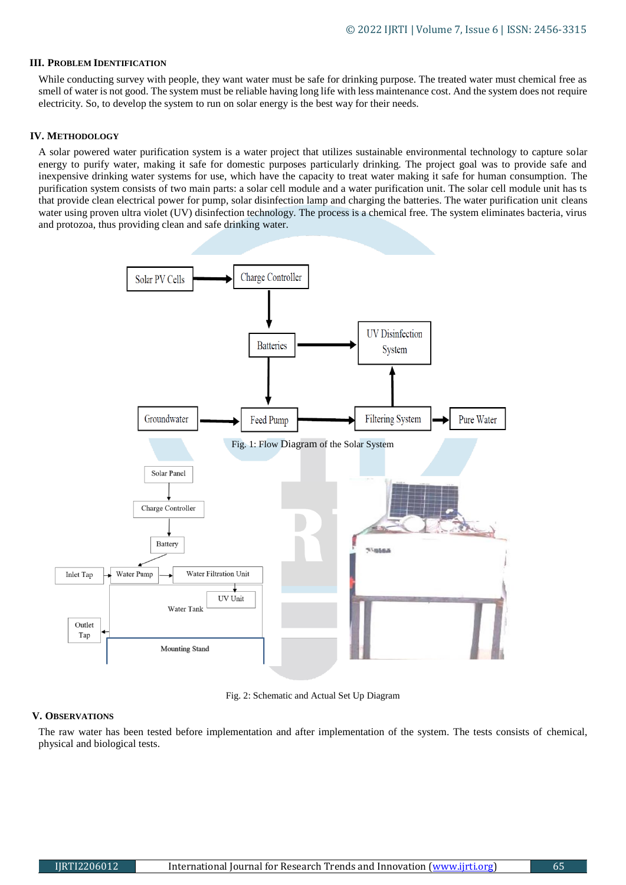## **III. PROBLEM IDENTIFICATION**

While conducting survey with people, they want water must be safe for drinking purpose. The treated water must chemical free as smell of water is not good. The system must be reliable having long life with less maintenance cost. And the system does not require electricity. So, to develop the system to run on solar energy is the best way for their needs.

## **IV. METHODOLOGY**

A solar powered water purification system is a water project that utilizes sustainable environmental technology to capture solar energy to purify water, making it safe for domestic purposes particularly drinking. The project goal was to provide safe and inexpensive drinking water systems for use, which have the capacity to treat water making it safe for human consumption. The purification system consists of two main parts: a solar cell module and a water purification unit. The solar cell module unit has ts that provide clean electrical power for pump, solar disinfection lamp and charging the batteries. The water purification unit cleans water using proven ultra violet (UV) disinfection technology. The process is a chemical free. The system eliminates bacteria, virus and protozoa, thus providing clean and safe drinking water.



Fig. 2: Schematic and Actual Set Up Diagram

#### **V. OBSERVATIONS**

The raw water has been tested before implementation and after implementation of the system. The tests consists of chemical, physical and biological tests.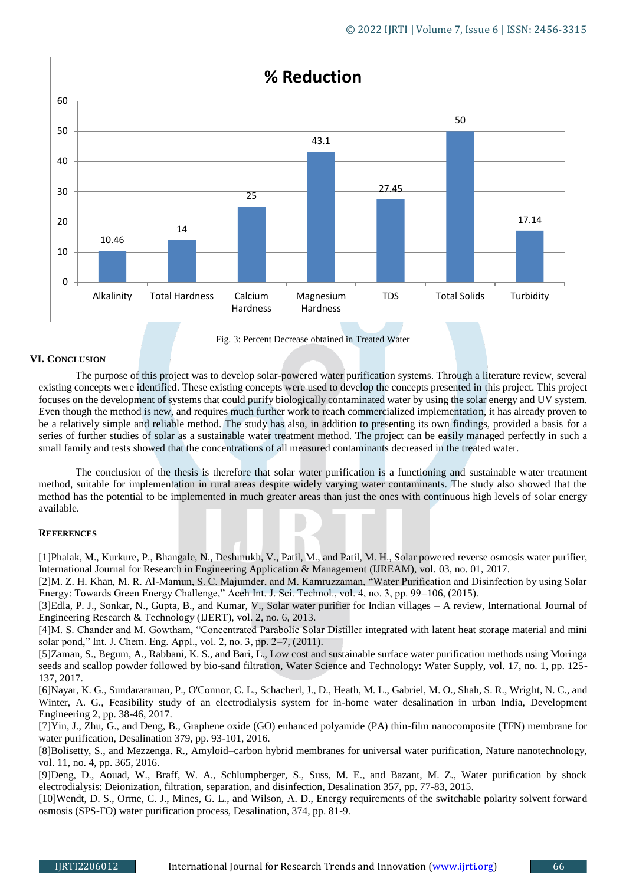

Fig. 3: Percent Decrease obtained in Treated Water

# **VI. CONCLUSION**

The purpose of this project was to develop solar-powered water purification systems. Through a literature review, several existing concepts were identified. These existing concepts were used to develop the concepts presented in this project. This project focuses on the development of systems that could purify biologically contaminated water by using the solar energy and UV system. Even though the method is new, and requires much further work to reach commercialized implementation, it has already proven to be a relatively simple and reliable method. The study has also, in addition to presenting its own findings, provided a basis for a series of further studies of solar as a sustainable water treatment method. The project can be easily managed perfectly in such a small family and tests showed that the concentrations of all measured contaminants decreased in the treated water.

The conclusion of the thesis is therefore that solar water purification is a functioning and sustainable water treatment method, suitable for implementation in rural areas despite widely varying water contaminants. The study also showed that the method has the potential to be implemented in much greater areas than just the ones with continuous high levels of solar energy available.

#### **REFERENCES**

[1]Phalak, M., Kurkure, P., Bhangale, N., Deshmukh, V., Patil, M., and Patil, M. H., Solar powered reverse osmosis water purifier, International Journal for Research in Engineering Application & Management (IJREAM), vol. 03, no. 01, 2017.

[2]M. Z. H. Khan, M. R. Al-Mamun, S. C. Majumder, and M. Kamruzzaman, "Water Purification and Disinfection by using Solar Energy: Towards Green Energy Challenge," Aceh Int. J. Sci. Technol., vol. 4, no. 3, pp. 99–106, (2015).

[3]Edla, P. J., Sonkar, N., Gupta, B., and Kumar, V., Solar water purifier for Indian villages – A review, International Journal of Engineering Research & Technology (IJERT), vol. 2, no. 6, 2013.

[4]M. S. Chander and M. Gowtham, "Concentrated Parabolic Solar Distiller integrated with latent heat storage material and mini solar pond," Int. J. Chem. Eng. Appl., vol. 2, no. 3, pp. 2–7, (2011).

[5]Zaman, S., Begum, A., Rabbani, K. S., and Bari, L., Low cost and sustainable surface water purification methods using Moringa seeds and scallop powder followed by bio-sand filtration, Water Science and Technology: Water Supply, vol. 17, no. 1, pp. 125- 137, 2017.

[6]Nayar, K. G., Sundararaman, P., O'Connor, C. L., Schacherl, J., D., Heath, M. L., Gabriel, M. O., Shah, S. R., Wright, N. C., and Winter, A. G., Feasibility study of an electrodialysis system for in-home water desalination in urban India, Development Engineering 2, pp. 38-46, 2017.

[7]Yin, J., Zhu, G., and Deng, B., Graphene oxide (GO) enhanced polyamide (PA) thin-film nanocomposite (TFN) membrane for water purification, Desalination 379, pp. 93-101, 2016.

[8]Bolisetty, S., and Mezzenga. R., Amyloid–carbon hybrid membranes for universal water purification, Nature nanotechnology, vol. 11, no. 4, pp. 365, 2016.

[9]Deng, D., Aouad, W., Braff, W. A., Schlumpberger, S., Suss, M. E., and Bazant, M. Z., Water purification by shock electrodialysis: Deionization, filtration, separation, and disinfection, Desalination 357, pp. 77-83, 2015.

[10]Wendt, D. S., Orme, C. J., Mines, G. L., and Wilson, A. D., Energy requirements of the switchable polarity solvent forward osmosis (SPS-FO) water purification process, Desalination, 374, pp. 81-9.